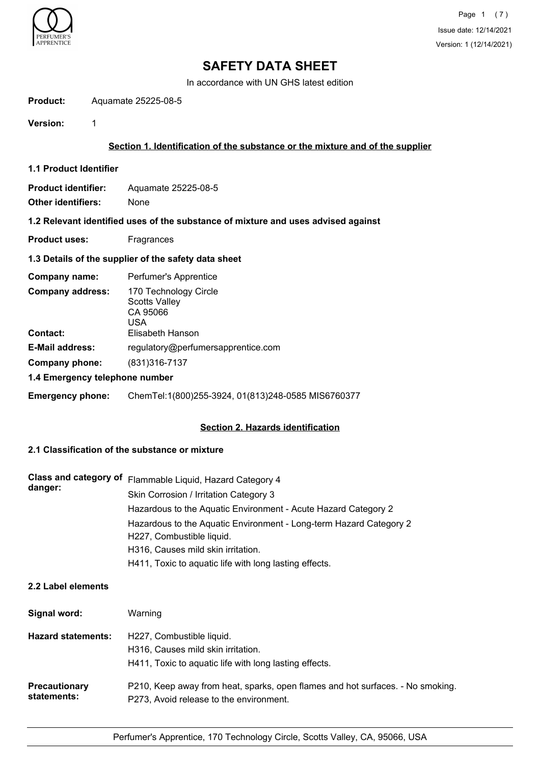

In accordance with UN GHS latest edition

**Product:** Aquamate 25225-08-5

**Version:** 1

# **Section 1. Identification of the substance or the mixture and of the supplier**

**1.1 Product Identifier**

**Product identifier:** Aquamate 25225-08-5 **Other identifiers:** None

### **1.2 Relevant identified uses of the substance of mixture and uses advised against**

**Product uses:** Fragrances

# **1.3 Details of the supplier of the safety data sheet**

| Company name:                  | Perfumer's Apprentice                                            |
|--------------------------------|------------------------------------------------------------------|
| <b>Company address:</b>        | 170 Technology Circle<br><b>Scotts Valley</b><br>CA 95066<br>USA |
| <b>Contact:</b>                | Elisabeth Hanson                                                 |
| <b>E-Mail address:</b>         | regulatory@perfumersapprentice.com                               |
| Company phone:                 | (831) 316-7137                                                   |
| 1.4 Emergency telephone number |                                                                  |

**Emergency phone:** ChemTel:1(800)255-3924, 01(813)248-0585 MIS6760377

# **Section 2. Hazards identification**

# **2.1 Classification of the substance or mixture**

| danger: | Class and category of Flammable Liquid, Hazard Category 4          |
|---------|--------------------------------------------------------------------|
|         | Skin Corrosion / Irritation Category 3                             |
|         | Hazardous to the Aquatic Environment - Acute Hazard Category 2     |
|         | Hazardous to the Aquatic Environment - Long-term Hazard Category 2 |
|         | H227, Combustible liquid.                                          |
|         | H316, Causes mild skin irritation.                                 |
|         | H411, Toxic to aquatic life with long lasting effects.             |

# **2.2 Label elements**

| Signal word:              | Warning                                                                        |
|---------------------------|--------------------------------------------------------------------------------|
| <b>Hazard statements:</b> | H227, Combustible liquid.                                                      |
|                           | H316, Causes mild skin irritation.                                             |
|                           | H411, Toxic to aquatic life with long lasting effects.                         |
| <b>Precautionary</b>      | P210, Keep away from heat, sparks, open flames and hot surfaces. - No smoking. |
| statements:               | P273, Avoid release to the environment.                                        |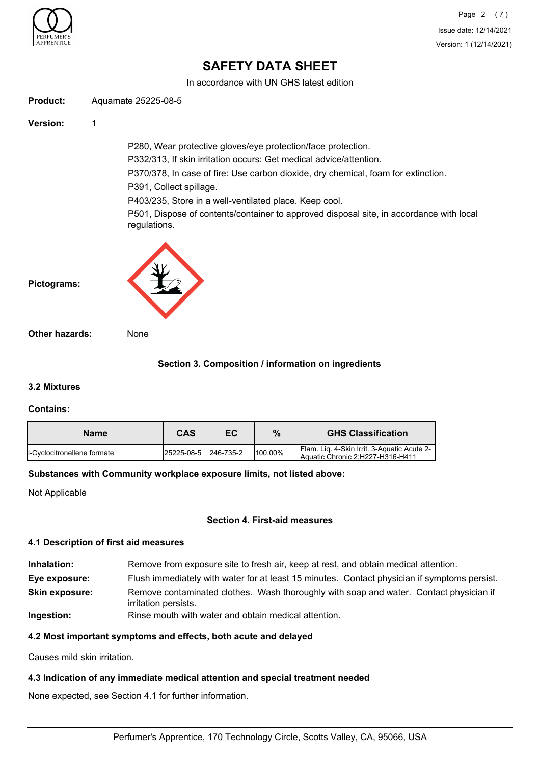

In accordance with UN GHS latest edition

**Product:** Aquamate 25225-08-5

**Version:** 1

P280, Wear protective gloves/eye protection/face protection. P332/313, If skin irritation occurs: Get medical advice/attention. P370/378, In case of fire: Use carbon dioxide, dry chemical, foam for extinction. P391, Collect spillage. P403/235, Store in a well-ventilated place. Keep cool.

P501, Dispose of contents/container to approved disposal site, in accordance with local regulations.



**Pictograms:**

**Other hazards:** None

# **Section 3. Composition / information on ingredients**

# **3.2 Mixtures**

# **Contains:**

| <b>Name</b>                  | CAS        | ЕC        | %       | <b>GHS Classification</b>                                                       |
|------------------------------|------------|-----------|---------|---------------------------------------------------------------------------------|
| Il-Cyclocitronellene formate | 25225-08-5 | 246-735-2 | 100.00% | Flam. Lig. 4-Skin Irrit. 3-Aquatic Acute 2-<br>Aquatic Chronic 2:H227-H316-H411 |

# **Substances with Community workplace exposure limits, not listed above:**

Not Applicable

# **Section 4. First-aid measures**

#### **4.1 Description of first aid measures**

- **Inhalation:** Remove from exposure site to fresh air, keep at rest, and obtain medical attention.
- **Eye exposure:** Flush immediately with water for at least 15 minutes. Contact physician if symptoms persist.
- Remove contaminated clothes. Wash thoroughly with soap and water. Contact physician if irritation persists. **Skin exposure:**
- **Ingestion:** Rinse mouth with water and obtain medical attention.

# **4.2 Most important symptoms and effects, both acute and delayed**

Causes mild skin irritation.

# **4.3 Indication of any immediate medical attention and special treatment needed**

None expected, see Section 4.1 for further information.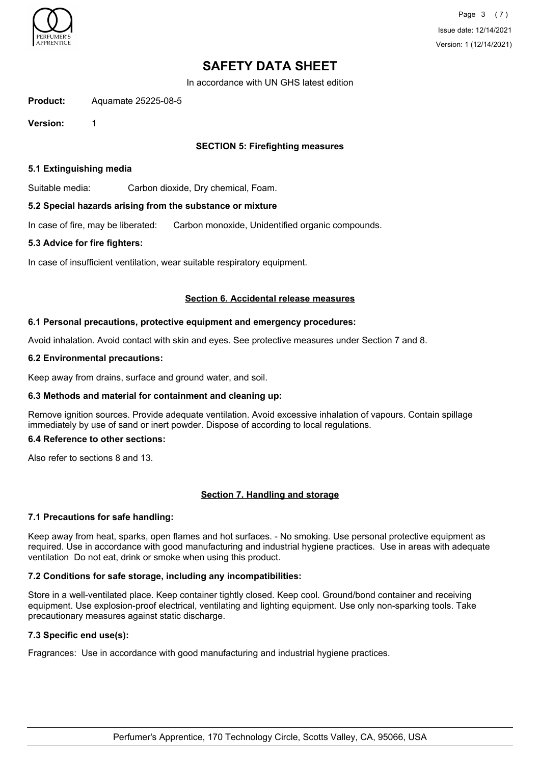

In accordance with UN GHS latest edition

**Product:** Aquamate 25225-08-5

**Version:** 1

# **SECTION 5: Firefighting measures**

### **5.1 Extinguishing media**

Suitable media: Carbon dioxide, Dry chemical, Foam.

#### **5.2 Special hazards arising from the substance or mixture**

In case of fire, may be liberated: Carbon monoxide, Unidentified organic compounds.

#### **5.3 Advice for fire fighters:**

In case of insufficient ventilation, wear suitable respiratory equipment.

#### **Section 6. Accidental release measures**

#### **6.1 Personal precautions, protective equipment and emergency procedures:**

Avoid inhalation. Avoid contact with skin and eyes. See protective measures under Section 7 and 8.

#### **6.2 Environmental precautions:**

Keep away from drains, surface and ground water, and soil.

# **6.3 Methods and material for containment and cleaning up:**

Remove ignition sources. Provide adequate ventilation. Avoid excessive inhalation of vapours. Contain spillage immediately by use of sand or inert powder. Dispose of according to local regulations.

# **6.4 Reference to other sections:**

Also refer to sections 8 and 13.

# **Section 7. Handling and storage**

# **7.1 Precautions for safe handling:**

Keep away from heat, sparks, open flames and hot surfaces. - No smoking. Use personal protective equipment as required. Use in accordance with good manufacturing and industrial hygiene practices. Use in areas with adequate ventilation Do not eat, drink or smoke when using this product.

# **7.2 Conditions for safe storage, including any incompatibilities:**

Store in a well-ventilated place. Keep container tightly closed. Keep cool. Ground/bond container and receiving equipment. Use explosion-proof electrical, ventilating and lighting equipment. Use only non-sparking tools. Take precautionary measures against static discharge.

# **7.3 Specific end use(s):**

Fragrances: Use in accordance with good manufacturing and industrial hygiene practices.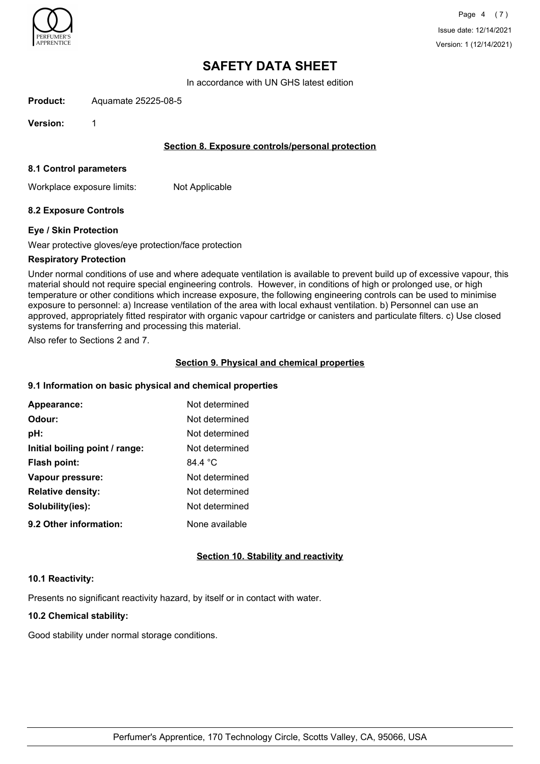

In accordance with UN GHS latest edition

**Product:** Aquamate 25225-08-5

**Version:** 1

# **Section 8. Exposure controls/personal protection**

#### **8.1 Control parameters**

Workplace exposure limits: Not Applicable

# **8.2 Exposure Controls**

#### **Eye / Skin Protection**

Wear protective gloves/eye protection/face protection

#### **Respiratory Protection**

Under normal conditions of use and where adequate ventilation is available to prevent build up of excessive vapour, this material should not require special engineering controls. However, in conditions of high or prolonged use, or high temperature or other conditions which increase exposure, the following engineering controls can be used to minimise exposure to personnel: a) Increase ventilation of the area with local exhaust ventilation. b) Personnel can use an approved, appropriately fitted respirator with organic vapour cartridge or canisters and particulate filters. c) Use closed systems for transferring and processing this material.

Also refer to Sections 2 and 7.

#### **Section 9. Physical and chemical properties**

### **9.1 Information on basic physical and chemical properties**

| Appearance:                    | Not determined   |
|--------------------------------|------------------|
| Odour:                         | Not determined   |
| pH:                            | Not determined   |
| Initial boiling point / range: | Not determined   |
| Flash point:                   | 84.4 $\degree$ C |
| Vapour pressure:               | Not determined   |
| <b>Relative density:</b>       | Not determined   |
| Solubility(ies):               | Not determined   |
| 9.2 Other information:         | None available   |

# **Section 10. Stability and reactivity**

#### **10.1 Reactivity:**

Presents no significant reactivity hazard, by itself or in contact with water.

# **10.2 Chemical stability:**

Good stability under normal storage conditions.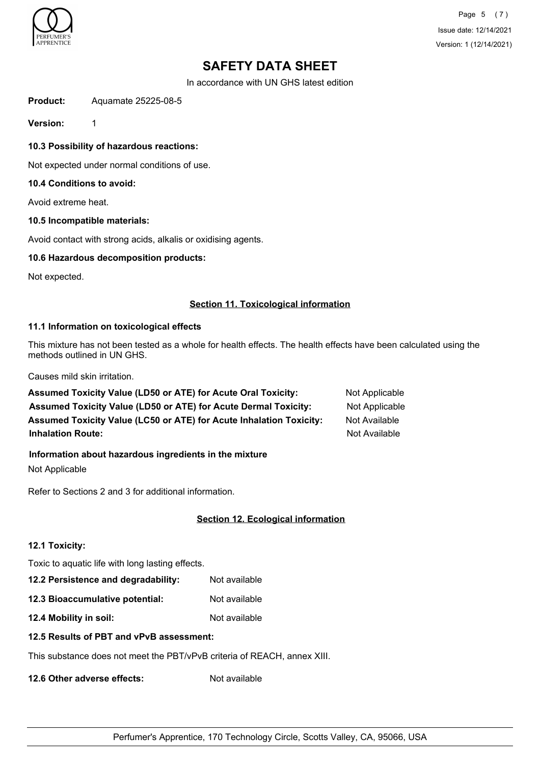

Page 5 (7) Issue date: 12/14/2021 Version: 1 (12/14/2021)

# **SAFETY DATA SHEET**

In accordance with UN GHS latest edition

**Product:** Aquamate 25225-08-5

**Version:** 1

**10.3 Possibility of hazardous reactions:**

Not expected under normal conditions of use.

### **10.4 Conditions to avoid:**

Avoid extreme heat.

#### **10.5 Incompatible materials:**

Avoid contact with strong acids, alkalis or oxidising agents.

### **10.6 Hazardous decomposition products:**

Not expected.

#### **Section 11. Toxicological information**

# **11.1 Information on toxicological effects**

This mixture has not been tested as a whole for health effects. The health effects have been calculated using the methods outlined in UN GHS.

Causes mild skin irritation.

| Assumed Toxicity Value (LD50 or ATE) for Acute Oral Toxicity:          | Not Applicable |
|------------------------------------------------------------------------|----------------|
| <b>Assumed Toxicity Value (LD50 or ATE) for Acute Dermal Toxicity:</b> | Not Applicable |
| Assumed Toxicity Value (LC50 or ATE) for Acute Inhalation Toxicity:    | Not Available  |
| <b>Inhalation Route:</b>                                               | Not Available  |

# **Information about hazardous ingredients in the mixture**

Not Applicable

Refer to Sections 2 and 3 for additional information.

# **Section 12. Ecological information**

# **12.1 Toxicity:**

Toxic to aquatic life with long lasting effects.

**12.2 Persistence and degradability:** Not available

**12.3 Bioaccumulative potential:** Not available

**12.4 Mobility in soil:** Not available

# **12.5 Results of PBT and vPvB assessment:**

This substance does not meet the PBT/vPvB criteria of REACH, annex XIII.

**12.6 Other adverse effects:** Not available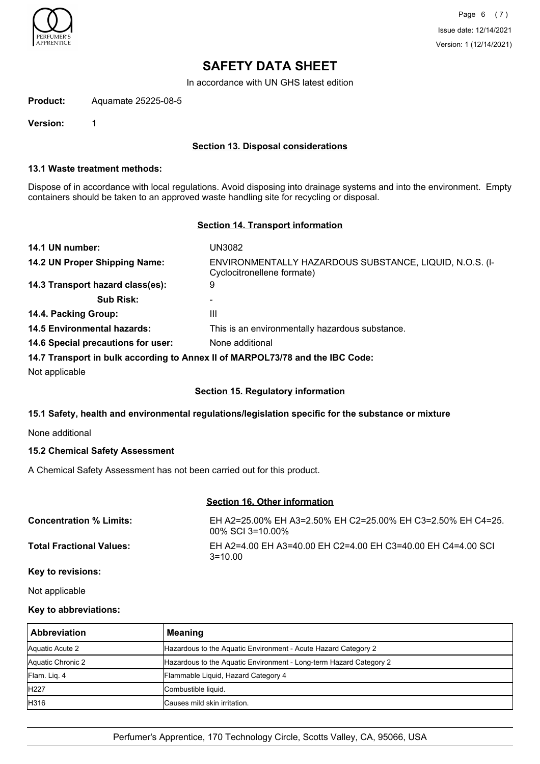

In accordance with UN GHS latest edition

**Product:** Aquamate 25225-08-5

**Version:** 1

# **Section 13. Disposal considerations**

#### **13.1 Waste treatment methods:**

Dispose of in accordance with local regulations. Avoid disposing into drainage systems and into the environment. Empty containers should be taken to an approved waste handling site for recycling or disposal.

### **Section 14. Transport information**

| UN3082                                                                                |
|---------------------------------------------------------------------------------------|
| ENVIRONMENTALLY HAZARDOUS SUBSTANCE, LIQUID, N.O.S. (I-<br>Cyclocitronellene formate) |
| 9                                                                                     |
|                                                                                       |
| Ш                                                                                     |
| This is an environmentally hazardous substance.                                       |
| None additional                                                                       |
|                                                                                       |

#### **14.7 Transport in bulk according to Annex II of MARPOL73/78 and the IBC Code:**

Not applicable

# **Section 15. Regulatory information**

# **15.1 Safety, health and environmental regulations/legislation specific for the substance or mixture**

None additional

# **15.2 Chemical Safety Assessment**

A Chemical Safety Assessment has not been carried out for this product.

# **Section 16. Other information**

| <b>Concentration % Limits:</b>  | EH A2=25.00% EH A3=2.50% EH C2=25.00% EH C3=2.50% EH C4=25.<br>$00\%$ SCI 3=10.00% |
|---------------------------------|------------------------------------------------------------------------------------|
| <b>Total Fractional Values:</b> | EH A2=4.00 EH A3=40.00 EH C2=4.00 EH C3=40.00 EH C4=4.00 SCI<br>$3 = 10.00$        |
| Key to revisions:               |                                                                                    |

Not applicable

# **Key to abbreviations:**

| <b>Abbreviation</b> | Meaning                                                            |
|---------------------|--------------------------------------------------------------------|
| Aquatic Acute 2     | Hazardous to the Aquatic Environment - Acute Hazard Category 2     |
| Aquatic Chronic 2   | Hazardous to the Aquatic Environment - Long-term Hazard Category 2 |
| Flam. Lig. 4        | Flammable Liquid, Hazard Category 4                                |
| <b>H227</b>         | Combustible liquid.                                                |
| H316                | lCauses mild skin irritation.                                      |